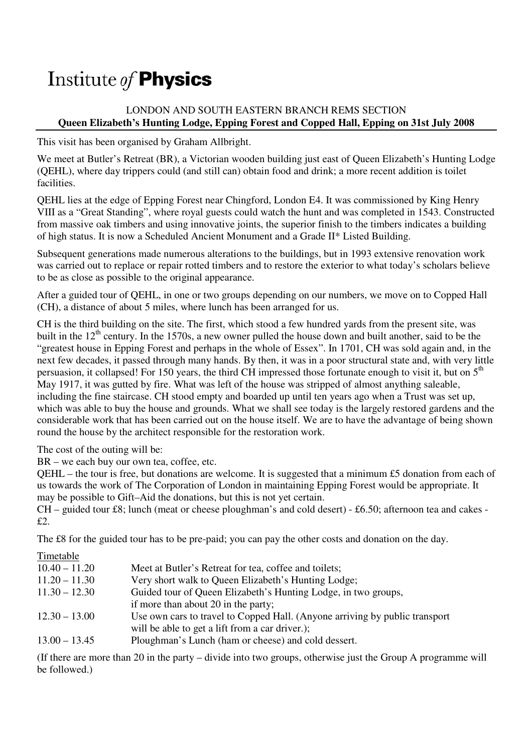# Institute of **Physics**

## LONDON AND SOUTH EASTERN BRANCH REMS SECTION **Queen Elizabeth's Hunting Lodge, Epping Forest and Copped Hall, Epping on 31st July 2008**

This visit has been organised by Graham Allbright.

We meet at Butler's Retreat (BR), a Victorian wooden building just east of Queen Elizabeth's Hunting Lodge (QEHL), where day trippers could (and still can) obtain food and drink; a more recent addition is toilet facilities.

QEHL lies at the edge of Epping Forest near Chingford, London E4. It was commissioned by King Henry VIII as a "Great Standing", where royal guests could watch the hunt and was completed in 1543. Constructed from massive oak timbers and using innovative joints, the superior finish to the timbers indicates a building of high status. It is now a Scheduled Ancient Monument and a Grade II\* Listed Building.

Subsequent generations made numerous alterations to the buildings, but in 1993 extensive renovation work was carried out to replace or repair rotted timbers and to restore the exterior to what today's scholars believe to be as close as possible to the original appearance.

After a guided tour of QEHL, in one or two groups depending on our numbers, we move on to Copped Hall (CH), a distance of about 5 miles, where lunch has been arranged for us.

CH is the third building on the site. The first, which stood a few hundred yards from the present site, was built in the  $12<sup>th</sup>$  century. In the 1570s, a new owner pulled the house down and built another, said to be the "greatest house in Epping Forest and perhaps in the whole of Essex". In 1701, CH was sold again and, in the next few decades, it passed through many hands. By then, it was in a poor structural state and, with very little persuasion, it collapsed! For 150 years, the third CH impressed those fortunate enough to visit it, but on  $5<sup>th</sup>$ May 1917, it was gutted by fire. What was left of the house was stripped of almost anything saleable, including the fine staircase. CH stood empty and boarded up until ten years ago when a Trust was set up, which was able to buy the house and grounds. What we shall see today is the largely restored gardens and the considerable work that has been carried out on the house itself. We are to have the advantage of being shown round the house by the architect responsible for the restoration work.

The cost of the outing will be:

BR – we each buy our own tea, coffee, etc.

QEHL – the tour is free, but donations are welcome. It is suggested that a minimum £5 donation from each of us towards the work of The Corporation of London in maintaining Epping Forest would be appropriate. It may be possible to Gift–Aid the donations, but this is not yet certain.

 $CH$  – guided tour £8; lunch (meat or cheese ploughman's and cold desert) - £6.50; afternoon tea and cakes -£2.

The £8 for the guided tour has to be pre-paid; you can pay the other costs and donation on the day.

### Timetable

| $10.40 - 11.20$ | Meet at Butler's Retreat for tea, coffee and toilets;                       |
|-----------------|-----------------------------------------------------------------------------|
| $11.20 - 11.30$ | Very short walk to Queen Elizabeth's Hunting Lodge;                         |
| $11.30 - 12.30$ | Guided tour of Queen Elizabeth's Hunting Lodge, in two groups,              |
|                 | if more than about 20 in the party;                                         |
| $12.30 - 13.00$ | Use own cars to travel to Copped Hall. (Anyone arriving by public transport |
|                 | will be able to get a lift from a car driver.);                             |
| $13.00 - 13.45$ | Ploughman's Lunch (ham or cheese) and cold dessert.                         |

(If there are more than 20 in the party – divide into two groups, otherwise just the Group A programme will be followed.)